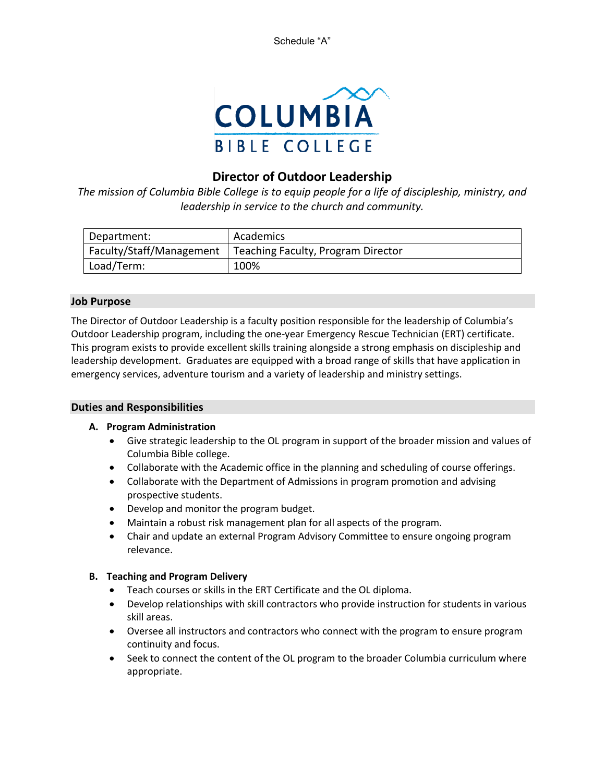Schedule "A"



# **Director of Outdoor Leadership**

*The mission of Columbia Bible College is to equip people for a life of discipleship, ministry, and leadership in service to the church and community.*

| Department:              | Academics                          |
|--------------------------|------------------------------------|
| Faculty/Staff/Management | Teaching Faculty, Program Director |
| Load/Term:               | 100%                               |

# **Job Purpose**

The Director of Outdoor Leadership is a faculty position responsible for the leadership of Columbia's Outdoor Leadership program, including the one-year Emergency Rescue Technician (ERT) certificate. This program exists to provide excellent skills training alongside a strong emphasis on discipleship and leadership development. Graduates are equipped with a broad range of skills that have application in emergency services, adventure tourism and a variety of leadership and ministry settings.

# **Duties and Responsibilities**

# **A. Program Administration**

- Give strategic leadership to the OL program in support of the broader mission and values of Columbia Bible college.
- Collaborate with the Academic office in the planning and scheduling of course offerings.
- Collaborate with the Department of Admissions in program promotion and advising prospective students.
- Develop and monitor the program budget.
- Maintain a robust risk management plan for all aspects of the program.
- Chair and update an external Program Advisory Committee to ensure ongoing program relevance.

# **B. Teaching and Program Delivery**

- Teach courses or skills in the ERT Certificate and the OL diploma.
- Develop relationships with skill contractors who provide instruction for students in various skill areas.
- Oversee all instructors and contractors who connect with the program to ensure program continuity and focus.
- Seek to connect the content of the OL program to the broader Columbia curriculum where appropriate.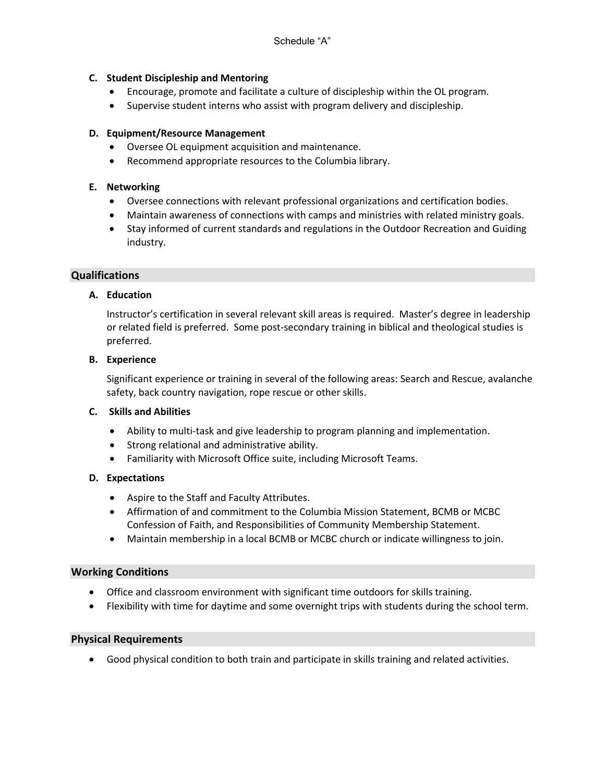# **C. Student Discipleship and Mentoring**

- Encourage, promote and facilitate a culture of discipleship within the OL program.
- Supervise student interns who assist with program delivery and discipleship.

# **D. Equipment/Resource Management**

- Oversee OL equipment acquisition and maintenance.
- Recommend appropriate resources to the Columbia library.

# **E. Networking**

- Oversee connections with relevant professional organizations and certification bodies.
- Maintain awareness of connections with camps and ministries with related ministry goals.
- Stay informed of current standards and regulations in the Outdoor Recreation and Guiding industry.

#### **Qualifications**

#### **A. Education**

Instructor's certification in several relevant skill areas is required. Master's degree in leadership or related field is preferred. Some post-secondary training in biblical and theological studies is preferred.

#### **B. Experience**

Significant experience or training in several of the following areas: Search and Rescue, avalanche safety, back country navigation, rope rescue or other skills.

#### **C. Skills and Abilities**

- Ability to multi-task and give leadership to program planning and implementation.
- Strong relational and administrative ability.
- Familiarity with Microsoft Office suite, including Microsoft Teams.

#### **D. Expectations**

- Aspire to the Staff and Faculty Attributes.
- Affirmation of and commitment to the Columbia Mission Statement, BCMB or MCBC Confession of Faith, and Responsibilities of Community Membership Statement.
- Maintain membership in a local BCMB or MCBC church or indicate willingness to join.

#### **Working Conditions**

- Office and classroom environment with significant time outdoors for skills training.
- Flexibility with time for daytime and some overnight trips with students during the school term.

#### **Physical Requirements**

• Good physical condition to both train and participate in skills training and related activities.